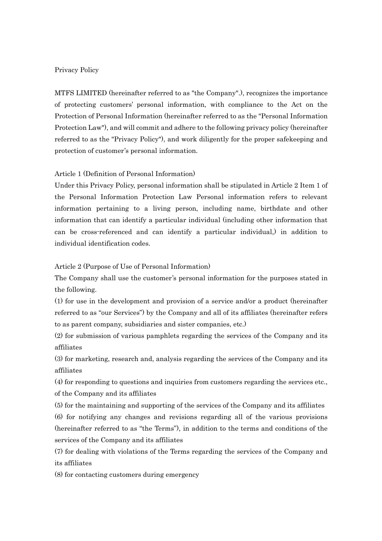## Privacy Policy

MTFS LIMITED (hereinafter referred to as "the Company".), recognizes the importance of protecting customers' personal information, with compliance to the Act on the Protection of Personal Information (hereinafter referred to as the "Personal Information Protection Law"), and will commit and adhere to the following privacy policy (hereinafter referred to as the "Privacy Policy"), and work diligently for the proper safekeeping and protection of customer's personal information.

## Article 1 (Definition of Personal Information)

Under this Privacy Policy, personal information shall be stipulated in Article 2 Item 1 of the Personal Information Protection Law Personal information refers to relevant information pertaining to a living person, including name, birthdate and other information that can identify a particular individual (including other information that can be cross-referenced and can identify a particular individual,) in addition to individual identification codes.

Article 2 (Purpose of Use of Personal Information)

The Company shall use the customer's personal information for the purposes stated in the following.

(1) for use in the development and provision of a service and/or a product (hereinafter referred to as "our Services") by the Company and all of its affiliates (hereinafter refers to as parent company, subsidiaries and sister companies, etc.)

(2) for submission of various pamphlets regarding the services of the Company and its affiliates

(3) for marketing, research and, analysis regarding the services of the Company and its affiliates

(4) for responding to questions and inquiries from customers regarding the services etc., of the Company and its affiliates

(5) for the maintaining and supporting of the services of the Company and its affiliates

(6) for notifying any changes and revisions regarding all of the various provisions (hereinafter referred to as "the Terms"), in addition to the terms and conditions of the services of the Company and its affiliates

(7) for dealing with violations of the Terms regarding the services of the Company and its affiliates

(8) for contacting customers during emergency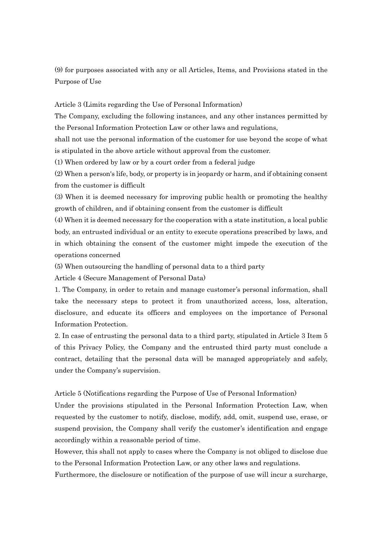(9) for purposes associated with any or all Articles, Items, and Provisions stated in the Purpose of Use

Article 3 (Limits regarding the Use of Personal Information)

The Company, excluding the following instances, and any other instances permitted by the Personal Information Protection Law or other laws and regulations,

shall not use the personal information of the customer for use beyond the scope of what is stipulated in the above article without approval from the customer.

(1) When ordered by law or by a court order from a federal judge

(2) When a person's life, body, or property is in jeopardy or harm, and if obtaining consent from the customer is difficult

(3) When it is deemed necessary for improving public health or promoting the healthy growth of children, and if obtaining consent from the customer is difficult

(4) When it is deemed necessary for the cooperation with a state institution, a local public body, an entrusted individual or an entity to execute operations prescribed by laws, and in which obtaining the consent of the customer might impede the execution of the operations concerned

(5) When outsourcing the handling of personal data to a third party

Article 4 (Secure Management of Personal Data)

1. The Company, in order to retain and manage customer's personal information, shall take the necessary steps to protect it from unauthorized access, loss, alteration, disclosure, and educate its officers and employees on the importance of Personal Information Protection.

2. In case of entrusting the personal data to a third party, stipulated in Article 3 Item 5 of this Privacy Policy, the Company and the entrusted third party must conclude a contract, detailing that the personal data will be managed appropriately and safely, under the Company's supervision.

Article 5 (Notifications regarding the Purpose of Use of Personal Information)

Under the provisions stipulated in the Personal Information Protection Law, when requested by the customer to notify, disclose, modify, add, omit, suspend use, erase, or suspend provision, the Company shall verify the customer's identification and engage accordingly within a reasonable period of time.

However, this shall not apply to cases where the Company is not obliged to disclose due to the Personal Information Protection Law, or any other laws and regulations.

Furthermore, the disclosure or notification of the purpose of use will incur a surcharge,